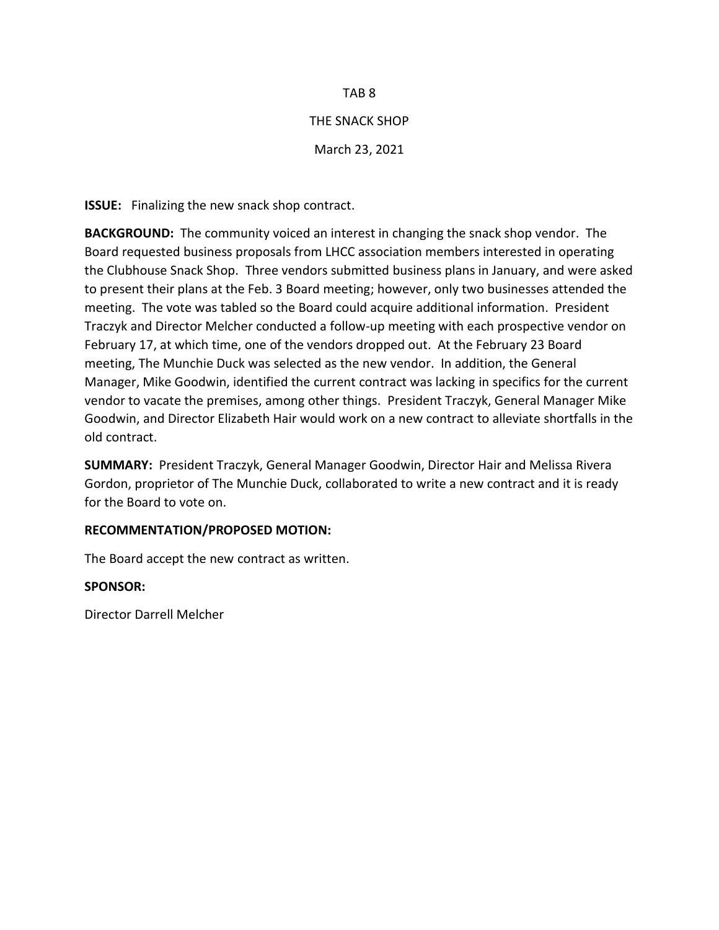# TAB 8

# THE SNACK SHOP

March 23, 2021

**ISSUE:** Finalizing the new snack shop contract.

**BACKGROUND:** The community voiced an interest in changing the snack shop vendor. The Board requested business proposals from LHCC association members interested in operating the Clubhouse Snack Shop. Three vendors submitted business plans in January, and were asked to present their plans at the Feb. 3 Board meeting; however, only two businesses attended the meeting. The vote was tabled so the Board could acquire additional information. President Traczyk and Director Melcher conducted a follow-up meeting with each prospective vendor on February 17, at which time, one of the vendors dropped out. At the February 23 Board meeting, The Munchie Duck was selected as the new vendor. In addition, the General Manager, Mike Goodwin, identified the current contract was lacking in specifics for the current vendor to vacate the premises, among other things. President Traczyk, General Manager Mike Goodwin, and Director Elizabeth Hair would work on a new contract to alleviate shortfalls in the old contract.

**SUMMARY:** President Traczyk, General Manager Goodwin, Director Hair and Melissa Rivera Gordon, proprietor of The Munchie Duck, collaborated to write a new contract and it is ready for the Board to vote on.

# **RECOMMENTATION/PROPOSED MOTION:**

The Board accept the new contract as written.

# **SPONSOR:**

Director Darrell Melcher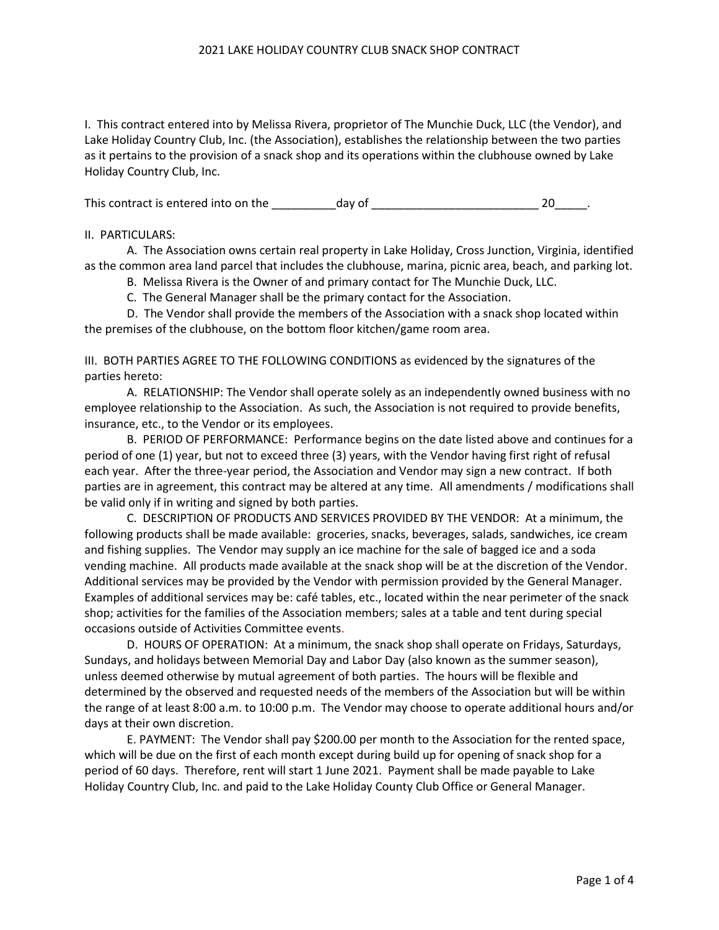#### 2021 LAKE HOLIDAY COUNTRY CLUB SNACK SHOP CONTRACT

I. This contract entered into by Melissa Rivera, proprietor of The Munchie Duck, LLC (the Vendor), and Lake Holiday Country Club, Inc. (the Association), establishes the relationship between the two parties as it pertains to the provision of a snack shop and its operations within the clubhouse owned by Lake Holiday Country Club, Inc.

This contract is entered into on the day of day of the state of the state of the state of the state of the state of the state of the state of the state of the state of the state of the state of the state of the state of th

### II. PARTICULARS:

A. The Association owns certain real property in Lake Holiday, Cross Junction, Virginia, identified as the common area land parcel that includes the clubhouse, marina, picnic area, beach, and parking lot.

B. Melissa Rivera is the Owner of and primary contact for The Munchie Duck, LLC.

C. The General Manager shall be the primary contact for the Association.

D. The Vendor shall provide the members of the Association with a snack shop located within the premises of the clubhouse, on the bottom floor kitchen/game room area.

III. BOTH PARTIES AGREE TO THE FOLLOWING CONDITIONS as evidenced by the signatures of the parties hereto:

A. RELATIONSHIP: The Vendor shall operate solely as an independently owned business with no employee relationship to the Association. As such, the Association is not required to provide benefits, insurance, etc., to the Vendor or its employees.

B. PERIOD OF PERFORMANCE: Performance begins on the date listed above and continues for a period of one (1) year, but not to exceed three (3) years, with the Vendor having first right of refusal each year. After the three-year period, the Association and Vendor may sign a new contract. If both parties are in agreement, this contract may be altered at any time. All amendments / modifications shall be valid only if in writing and signed by both parties.

C. DESCRIPTION OF PRODUCTS AND SERVICES PROVIDED BY THE VENDOR: At a minimum, the following products shall be made available: groceries, snacks, beverages, salads, sandwiches, ice cream and fishing supplies. The Vendor may supply an ice machine for the sale of bagged ice and a soda vending machine. All products made available at the snack shop will be at the discretion of the Vendor. Additional services may be provided by the Vendor with permission provided by the General Manager. Examples of additional services may be: café tables, etc., located within the near perimeter of the snack shop; activities for the families of the Association members; sales at a table and tent during special occasions outside of Activities Committee events.

D. HOURS OF OPERATION: At a minimum, the snack shop shall operate on Fridays, Saturdays, Sundays, and holidays between Memorial Day and Labor Day (also known as the summer season), unless deemed otherwise by mutual agreement of both parties. The hours will be flexible and determined by the observed and requested needs of the members of the Association but will be within the range of at least 8:00 a.m. to 10:00 p.m. The Vendor may choose to operate additional hours and/or days at their own discretion.

E. PAYMENT: The Vendor shall pay \$200.00 per month to the Association for the rented space, which will be due on the first of each month except during build up for opening of snack shop for a period of 60 days. Therefore, rent will start 1 June 2021. Payment shall be made payable to Lake Holiday Country Club, Inc. and paid to the Lake Holiday County Club Office or General Manager.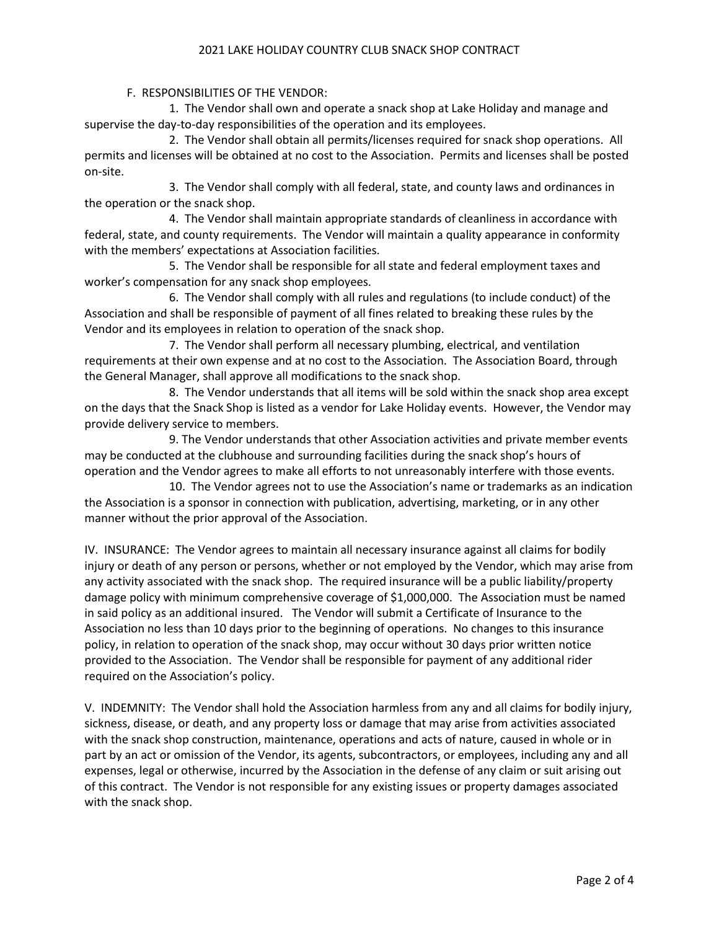### 2021 LAKE HOLIDAY COUNTRY CLUB SNACK SHOP CONTRACT

F. RESPONSIBILITIES OF THE VENDOR:

1. The Vendor shall own and operate a snack shop at Lake Holiday and manage and supervise the day-to-day responsibilities of the operation and its employees.

2. The Vendor shall obtain all permits/licenses required for snack shop operations. All permits and licenses will be obtained at no cost to the Association. Permits and licenses shall be posted on-site.

3. The Vendor shall comply with all federal, state, and county laws and ordinances in the operation or the snack shop.

4. The Vendor shall maintain appropriate standards of cleanliness in accordance with federal, state, and county requirements. The Vendor will maintain a quality appearance in conformity with the members' expectations at Association facilities.

5. The Vendor shall be responsible for all state and federal employment taxes and worker's compensation for any snack shop employees.

6. The Vendor shall comply with all rules and regulations (to include conduct) of the Association and shall be responsible of payment of all fines related to breaking these rules by the Vendor and its employees in relation to operation of the snack shop.

7. The Vendor shall perform all necessary plumbing, electrical, and ventilation requirements at their own expense and at no cost to the Association. The Association Board, through the General Manager, shall approve all modifications to the snack shop.

8. The Vendor understands that all items will be sold within the snack shop area except on the days that the Snack Shop is listed as a vendor for Lake Holiday events. However, the Vendor may provide delivery service to members.

9. The Vendor understands that other Association activities and private member events may be conducted at the clubhouse and surrounding facilities during the snack shop's hours of operation and the Vendor agrees to make all efforts to not unreasonably interfere with those events.

10. The Vendor agrees not to use the Association's name or trademarks as an indication the Association is a sponsor in connection with publication, advertising, marketing, or in any other manner without the prior approval of the Association.

IV. INSURANCE: The Vendor agrees to maintain all necessary insurance against all claims for bodily injury or death of any person or persons, whether or not employed by the Vendor, which may arise from any activity associated with the snack shop. The required insurance will be a public liability/property damage policy with minimum comprehensive coverage of \$1,000,000. The Association must be named in said policy as an additional insured. The Vendor will submit a Certificate of Insurance to the Association no less than 10 days prior to the beginning of operations. No changes to this insurance policy, in relation to operation of the snack shop, may occur without 30 days prior written notice provided to the Association. The Vendor shall be responsible for payment of any additional rider required on the Association's policy.

V. INDEMNITY: The Vendor shall hold the Association harmless from any and all claims for bodily injury, sickness, disease, or death, and any property loss or damage that may arise from activities associated with the snack shop construction, maintenance, operations and acts of nature, caused in whole or in part by an act or omission of the Vendor, its agents, subcontractors, or employees, including any and all expenses, legal or otherwise, incurred by the Association in the defense of any claim or suit arising out of this contract. The Vendor is not responsible for any existing issues or property damages associated with the snack shop.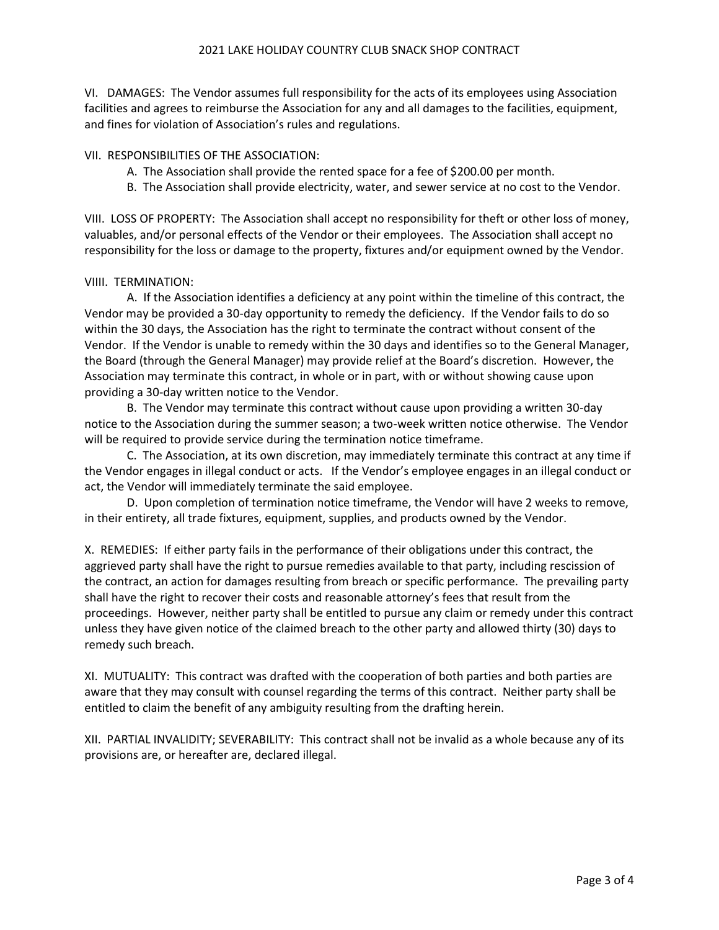VI. DAMAGES: The Vendor assumes full responsibility for the acts of its employees using Association facilities and agrees to reimburse the Association for any and all damages to the facilities, equipment, and fines for violation of Association's rules and regulations.

VII. RESPONSIBILITIES OF THE ASSOCIATION:

- A. The Association shall provide the rented space for a fee of \$200.00 per month.
- B. The Association shall provide electricity, water, and sewer service at no cost to the Vendor.

VIII. LOSS OF PROPERTY: The Association shall accept no responsibility for theft or other loss of money, valuables, and/or personal effects of the Vendor or their employees. The Association shall accept no responsibility for the loss or damage to the property, fixtures and/or equipment owned by the Vendor.

### VIIII. TERMINATION:

A. If the Association identifies a deficiency at any point within the timeline of this contract, the Vendor may be provided a 30-day opportunity to remedy the deficiency. If the Vendor fails to do so within the 30 days, the Association has the right to terminate the contract without consent of the Vendor. If the Vendor is unable to remedy within the 30 days and identifies so to the General Manager, the Board (through the General Manager) may provide relief at the Board's discretion. However, the Association may terminate this contract, in whole or in part, with or without showing cause upon providing a 30-day written notice to the Vendor.

B. The Vendor may terminate this contract without cause upon providing a written 30-day notice to the Association during the summer season; a two-week written notice otherwise. The Vendor will be required to provide service during the termination notice timeframe.

C. The Association, at its own discretion, may immediately terminate this contract at any time if the Vendor engages in illegal conduct or acts. If the Vendor's employee engages in an illegal conduct or act, the Vendor will immediately terminate the said employee.

D. Upon completion of termination notice timeframe, the Vendor will have 2 weeks to remove, in their entirety, all trade fixtures, equipment, supplies, and products owned by the Vendor.

X. REMEDIES: If either party fails in the performance of their obligations under this contract, the aggrieved party shall have the right to pursue remedies available to that party, including rescission of the contract, an action for damages resulting from breach or specific performance. The prevailing party shall have the right to recover their costs and reasonable attorney's fees that result from the proceedings. However, neither party shall be entitled to pursue any claim or remedy under this contract unless they have given notice of the claimed breach to the other party and allowed thirty (30) days to remedy such breach.

XI. MUTUALITY: This contract was drafted with the cooperation of both parties and both parties are aware that they may consult with counsel regarding the terms of this contract. Neither party shall be entitled to claim the benefit of any ambiguity resulting from the drafting herein.

XII. PARTIAL INVALIDITY; SEVERABILITY: This contract shall not be invalid as a whole because any of its provisions are, or hereafter are, declared illegal.